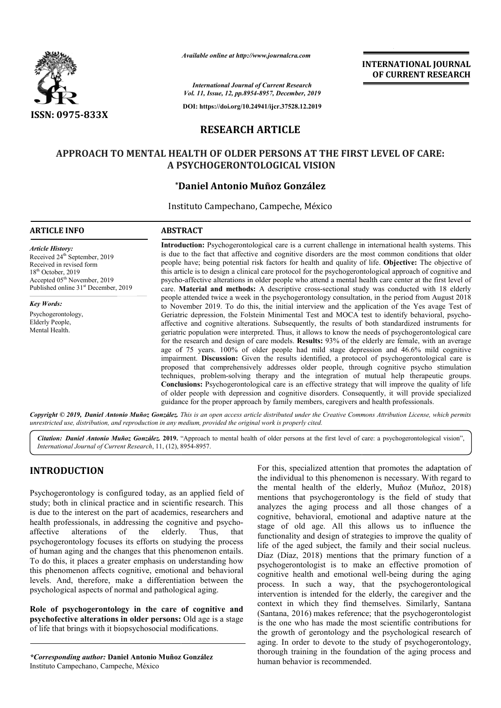

*Available online at http://www.journalcra.com*

**INTERNATIONAL JOURNAL OF CURRENT RESEARCH**

*International Journal of Current Research Vol. 11, Issue, 12, pp.8954-8957, December, 2019*

**DOI: https://doi.org/10.24941/ijcr.37528.12.2019**

# **RESEARCH ARTICLE**

# **APPROACH TO MENTAL HEALTH OF OLDER PERSONS AT THE FIRST LEVEL OF CARE: OF CARE:A PSYCHOGERONTOLOGICAL VISION**

# **\*Daniel Antonio Muñoz González Daniel**

Instituto Campechano, Campeche Campeche, México

### **ARTICLE INFO ABSTRACT**

*Article History:* Received 24<sup>th</sup> September, 2019 Received in revised form 18<sup>th</sup> October, 2019 Accepted 05<sup>th</sup> November, 2019 Published online 31<sup>st</sup> December, 2019

*Key Words:* Psychogerontology, Elderly People, Mental Health.

**Introduction:**  Psychogerontological care is a current challenge in international health systems. This is due to the fact that affective and cognitive disorders are the most common conditions that older Introduction: Psychogerontological care is a current challenge in international health systems. This is due to the fact that affective and cognitive disorders are the most common conditions that older people have; being po this article is to design a clinical care protocol for the psychogerontological approach of cognitive and this article is to design a clinical care protocol for the psychogerontological approach of cognitive and<br>psycho-affective alterations in older people who attend a mental health care center at the first level of care. **Material and methods:**  A descriptive cross-sectional study was conducted with 18 elderly people attended twice a week in the psychogerontology consultation, in the period from August 2018 to November 2019. To do this, the initial interview and the application of the Yes Geriatric depression, the Folstein Minimental Test and MOCA test to identify behavioral, psychoaffective and cognitive alterations. Subsequently, the results of both standardized instruments for geriatric p population were interpreted. Thus, it allows to know the needs of psychogerontological care for the research and design of care models. **Results:** 93% of the elderly are female, with an average age of 75 years. 100% of older people had mild stage depression and 46.6% mild cognitive impairment. **Discussion:** Given the results identified, a protocol of psychogerontological care is impairment. Discussion: Given the results identified, a protocol of psychogerontological care is proposed that comprehensively addresses older people, through cognitive psycho stimulation techniques, problem-solving therapy and the integration of mutual help therapeutic groups. **Conclusions:**  Psychogerontological care is an effective strategy that will improve the quality of life of older people with depression and cognitive disorders. Consequently, it will provide specialized **Conclusions:** Psychogerontological care is an effective strategy that will improve the quality of of older people with depression and cognitive disorders. Consequently, it will provide speciali guidance for the proper app care. **Material and methods:** A descriptive cross-sectional study was conducted with 18 elderly people attended twice a week in the psychogerontology consultation, in the period from August 2018 to November 2019. To do thi affective and cognitive alterations. Subsequently, the results of both standardized instruments for geriatric population were interpreted. Thus, it allows to know the needs of psychogerontological care for the research and

Copyright © 2019, Daniel Antonio Muñoz González. This is an open access article distributed under the Creative Commons Attribution License, which permits *unrestricted use, distribution, and reproduction in any medium, provided the original work is properly cited.*

Citation: Daniel Antonio Muñoz González. 2019. "Approach to mental health of older persons at the first level of care: a psychogerontological vision", *International Journal of Current Research*, 11, (12), 8954 8954-8957.

# **INTRODUCTION**

Psychogerontology is configured today, as an applied field of study; both in clinical practice and in scientific research. This is due to the interest on the part of academics, researchers and health professionals, in addressing the cognitive and psychoaffective alterations of the elderly. Thus, that psychogerontology focuses its efforts on studying the process of human aging and the changes that this phenomenon entails. To do this, it places a greater emphasis on understanding how this phenomenon affects cognitive, emotional and behavioral levels. And, therefore, make a differentiation between the psychological aspects of normal and pathological aging.

**Role of psychogerontology in the care of cognitive and psychofective alterations in older persons: :** Old age is a stage of life that brings with it biopsychosocial modifications.

*\*Corresponding author:* **Daniel Antonio Muñoz González** Instituto Campechano, Campeche, México

For this, specialized attention that promotes the adaptation of the individual to this phenomenon is necessary. With regard to For this, specialized attention that promotes the adaptation of the individual to this phenomenon is necessary. With regard to the mental health of the elderly, Muñoz (Muñoz, 2018) mentions that psychogerontology is the field of study that analyzes the aging process and all those changes of a cognitive, behavioral, emotional and adaptive nature at the stage of old age. All this allows us to influence the functionality and design of strategies to improve the quality of life of the aged subject, the family and their social nucleus. Díaz (Díaz, 2018) mentions that the primary function of a psychogerontologist is to make an effective promotion of cognitive health and emotional well-being during the aging process. In such a way, that the psychogerontological intervention is intended for the elderly, the caregiver and the context in which they find themselves. Similarly, Santana (Santana, 2016) makes reference; that the psychogerontologist is the one who has made the most scientific contributions for the growth of gerontology and the psychological research of aging. In order to devote to the study of psychogerontology, thorough training in the foundation of the aging process and human behavior is recommended. psychogerontology is the field of study that<br>aging process and all those changes of a<br>avvioral, emotional and adaptive nature at the<br>age. All this allows us to influence the<br>d design of strategies to improve the quality of 3) mentions that the primary function of a<br>ist is to make an effective promotion of<br>and emotional well-being during the aging In such a way, that the psychogerontological<br>ion is intended for the elderly, the caregiver and the<br>in which they find themselves. Similarly, Santana **EXERCAT TONAL JOURNAL FORMAT CONTRANT ON A CONTRANT OF CURRENT RESEARCH**<br> **Contract of the international health systems. This control of the international health systems. This disorders are the most common conditions that**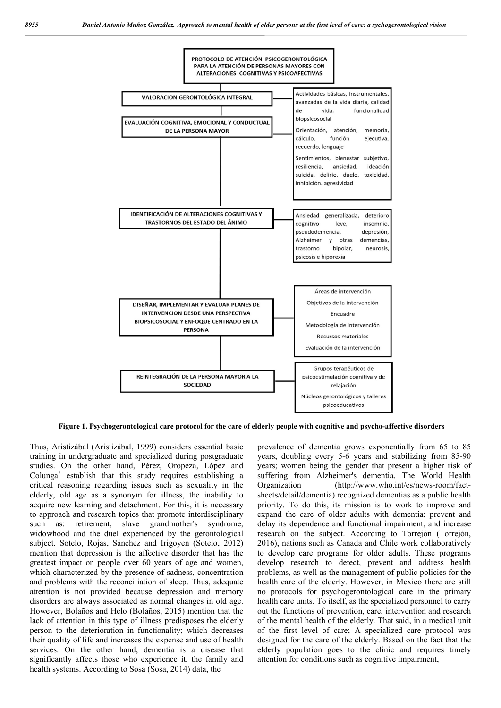

**Figure 1. Psychogerontological care protocol for the care of elderly people with cognitive and psycho-affective disorders**

Thus, Aristizábal (Aristizábal, 1999) considers essential basic training in undergraduate and specialized during postgraduate studies. On the other hand, Pérez, Oropeza, López and Colunga<sup>5</sup> establish that this study requires establishing a critical reasoning regarding issues such as sexuality in the elderly, old age as a synonym for illness, the inability to acquire new learning and detachment. For this, it is necessary to approach and research topics that promote interdisciplinary such as: retirement, slave grandmother's syndrome, widowhood and the duel experienced by the gerontological subject. Sotelo, Rojas, Sánchez and Irigoyen (Sotelo, 2012) mention that depression is the affective disorder that has the greatest impact on people over 60 years of age and women, which characterized by the presence of sadness, concentration and problems with the reconciliation of sleep. Thus, adequate attention is not provided because depression and memory disorders are always associated as normal changes in old age. However, Bolaños and Helo (Bolaños, 2015) mention that the lack of attention in this type of illness predisposes the elderly person to the deterioration in functionality; which decreases their quality of life and increases the expense and use of health services. On the other hand, dementia is a disease that significantly affects those who experience it, the family and health systems. According to Sosa (Sosa, 2014) data, the

prevalence of dementia grows exponentially from 65 to 85 years, doubling every 5-6 years and stabilizing from 85-90 years; women being the gender that present a higher risk of suffering from Alzheimer's dementia. The World Health Organization (http://www.who.int/es/news-room/factsheets/detail/dementia) recognized dementias as a public health priority. To do this, its mission is to work to improve and expand the care of older adults with dementia; prevent and delay its dependence and functional impairment, and increase research on the subject. According to Torrejón (Torrejón, 2016), nations such as Canada and Chile work collaboratively to develop care programs for older adults. These programs develop research to detect, prevent and address health problems, as well as the management of public policies for the health care of the elderly. However, in Mexico there are still no protocols for psychogerontological care in the primary health care units. To itself, as the specialized personnel to carry out the functions of prevention, care, intervention and research of the mental health of the elderly. That said, in a medical unit of the first level of care; A specialized care protocol was designed for the care of the elderly. Based on the fact that the elderly population goes to the clinic and requires timely attention for conditions such as cognitive impairment,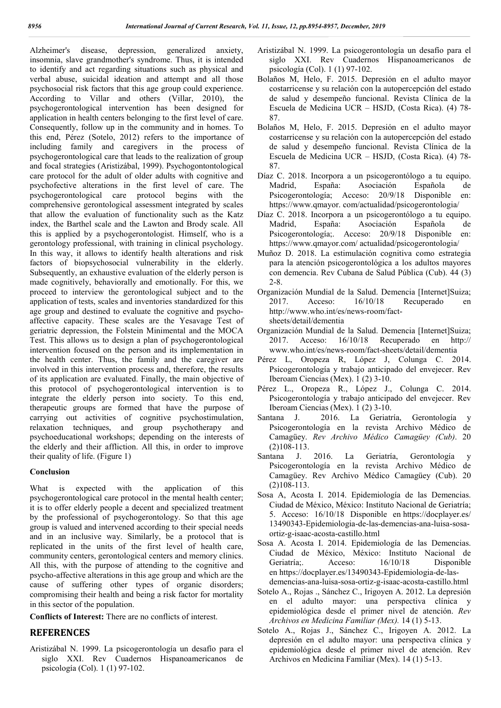Alzheimer's disease, depression, generalized anxiety, insomnia, slave grandmother's syndrome. Thus, it is intended to identify and act regarding situations such as physical and verbal abuse, suicidal ideation and attempt and all those psychosocial risk factors that this age group could experience. According to Villar and others (Villar, 2010), the psychogerontological intervention has been designed for application in health centers belonging to the first level of care. Consequently, follow up in the community and in homes. To this end, Pérez (Sotelo, 2012) refers to the importance of including family and caregivers in the process of psychogerontological care that leads to the realization of group and focal strategies (Aristizábal, 1999). Psychogontontological care protocol for the adult of older adults with cognitive and psychofective alterations in the first level of care. The psychogerontological care protocol begins with the comprehensive gerontological assessment integrated by scales that allow the evaluation of functionality such as the Katz index, the Barthel scale and the Lawton and Brody scale. All this is applied by a psychogerontologist. Himself, who is a gerontology professional, with training in clinical psychology. In this way, it allows to identify health alterations and risk factors of biopsychosocial vulnerability in the elderly. Subsequently, an exhaustive evaluation of the elderly person is made cognitively, behaviorally and emotionally. For this, we proceed to interview the gerontological subject and to the application of tests, scales and inventories standardized for this age group and destined to evaluate the cognitive and psychoaffective capacity. These scales are the Yesavage Test of geriatric depression, the Folstein Minimental and the MOCA Test. This allows us to design a plan of psychogerontological intervention focused on the person and its implementation in the health center. Thus, the family and the caregiver are involved in this intervention process and, therefore, the results of its application are evaluated. Finally, the main objective of this protocol of psychogerontological intervention is to integrate the elderly person into society. To this end, therapeutic groups are formed that have the purpose of carrying out activities of cognitive psychostimulation, relaxation techniques, and group psychotherapy and psychoeducational workshops; depending on the interests of the elderly and their affliction. All this, in order to improve their quality of life. (Figure 1)

## **Conclusion**

What is expected with the application of this psychogerontological care protocol in the mental health center; it is to offer elderly people a decent and specialized treatment by the professional of psychogerontology. So that this age group is valued and intervened according to their special needs and in an inclusive way. Similarly, be a protocol that is replicated in the units of the first level of health care, community centers, gerontological centers and memory clinics. All this, with the purpose of attending to the cognitive and psycho-affective alterations in this age group and which are the cause of suffering other types of organic disorders; compromising their health and being a risk factor for mortality in this sector of the population.

**Conflicts of Interest:** There are no conflicts of interest.

# **REFERENCES**

Aristizábal N. 1999. La psicogerontología un desafío para el siglo XXI. Rev Cuadernos Hispanoamericanos de psicología (Col). 1 (1) 97-102.

- Aristizábal N. 1999. La psicogerontología un desafío para el siglo XXI. Rev Cuadernos Hispanoamericanos de psicología (Col). 1 (1) 97-102.
- Bolaños M, Helo, F. 2015. Depresión en el adulto mayor costarricense y su relación con la autopercepción del estado de salud y desempeño funcional. Revista Clínica de la Escuela de Medicina UCR – HSJD, (Costa Rica). (4) 78- 87.
- Bolaños M, Helo, F. 2015. Depresión en el adulto mayor costarricense y su relación con la autopercepción del estado de salud y desempeño funcional. Revista Clínica de la Escuela de Medicina UCR – HSJD, (Costa Rica). (4) 78- 87.
- Díaz C. 2018. Incorpora a un psicogerontólogo a tu equipo. Madrid, España: Asociación Española de Psicogerontología; Acceso: 20/9/18 Disponible en: https://www.qmayor. com/actualidad/psicogerontologia/
- Díaz C. 2018. Incorpora a un psicogerontólogo a tu equipo. Madrid, España: Asociación Española de Psicogerontología;. Acceso: 20/9/18 Disponible en: https://www.qmayor.com/ actualidad/psicogerontologia/
- Muñoz D. 2018. La estimulación cognitiva como estrategia para la atención psicogerontológica a los adultos mayores con demencia. Rev Cubana de Salud Pública (Cub). 44 (3) 2-8.
- Organización Mundial de la Salud. Demencia [Internet]Suiza; 2017. Acceso: 16/10/18 Recuperado en http://www.who.int/es/news-room/factsheets/detail/dementia
- Organización Mundial de la Salud. Demencia [Internet]Suiza; 2017. Acceso: 16/10/18 Recuperado en http:// www.who.int/es/news-room/fact-sheets/detail/dementia
- Pérez L, Oropeza R, López J, Colunga C. 2014. Psicogerontología y trabajo anticipado del envejecer. Rev Iberoam Ciencias (Mex). 1 (2) 3-10.
- Pérez L., Oropeza R., López J., Colunga C. 2014. Psicogerontología y trabajo anticipado del envejecer. Rev Iberoam Ciencias (Mex). 1 (2) 3-10.
- Santana J. 2016. La Geriatría, Gerontología y Psicogerontología en la revista Archivo Médico de Camagüey. *Rev Archivo Médico Camagüey (Cub)*. 20 (2)108-113.
- Santana J. 2016. La Geriatría, Gerontología y Psicogerontología en la revista Archivo Médico de Camagüey. Rev Archivo Médico Camagüey (Cub). 20 (2)108-113.
- Sosa A, Acosta I. 2014. Epidemiología de las Demencias. Ciudad de México, México: Instituto Nacional de Geriatría; 5. Acceso: 16/10/18 Disponible en https://docplayer.es/ 13490343-Epidemiologia-de-las-demencias-ana-luisa-sosaortiz-g-isaac-acosta-castillo.html
- Sosa A. Acosta I. 2014. Epidemiología de las Demencias. Ciudad de México, México: Instituto Nacional de Geriatría;. Acceso: 16/10/18 Disponible en https://docplayer.es/13490343-Epidemiologia-de-lasdemencias-ana-luisa-sosa-ortiz-g-isaac-acosta-castillo.html
- Sotelo A., Rojas ., Sánchez C., Irigoyen A. 2012. La depresión en el adulto mayor: una perspectiva clínica y epidemiológica desde el primer nivel de atención. *Rev Archivos en Medicina Familiar (Mex).* 14 (1) 5-13.
- Sotelo A., Rojas J., Sánchez C., Irigoyen A. 2012. La depresión en el adulto mayor: una perspectiva clínica y epidemiológica desde el primer nivel de atención. Rev Archivos en Medicina Familiar (Mex). 14 (1) 5-13.